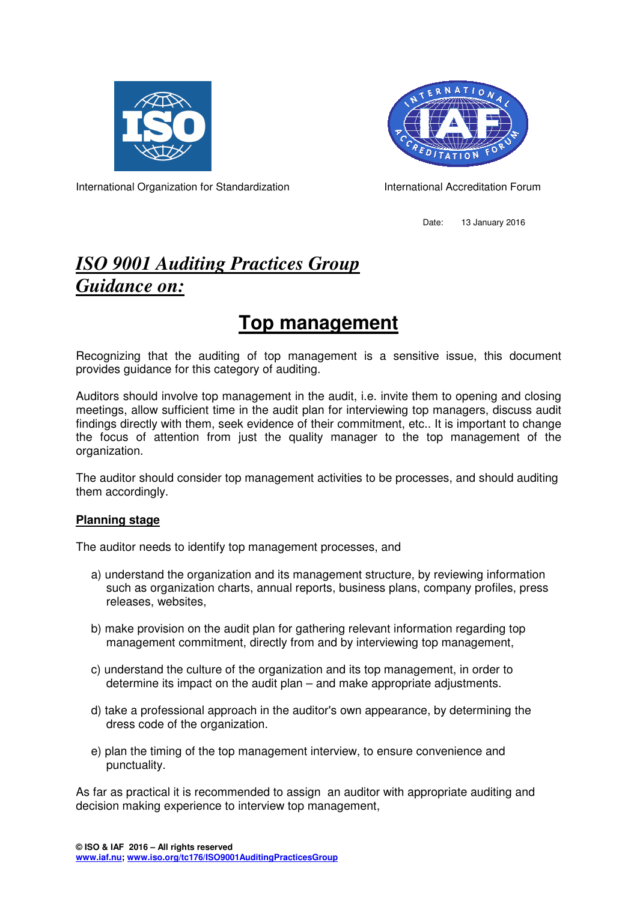



International Organization for Standardization **International Accreditation Forum** 

Date: 13 January 2016

## *ISO 9001 Auditing Practices Group Guidance on:*

# **Top management**

Recognizing that the auditing of top management is a sensitive issue, this document provides guidance for this category of auditing.

Auditors should involve top management in the audit, i.e. invite them to opening and closing meetings, allow sufficient time in the audit plan for interviewing top managers, discuss audit findings directly with them, seek evidence of their commitment, etc.. It is important to change the focus of attention from just the quality manager to the top management of the organization.

The auditor should consider top management activities to be processes, and should auditing them accordingly.

## **Planning stage**

The auditor needs to identify top management processes, and

- a) understand the organization and its management structure, by reviewing information such as organization charts, annual reports, business plans, company profiles, press releases, websites,
- b) make provision on the audit plan for gathering relevant information regarding top management commitment, directly from and by interviewing top management,
- c) understand the culture of the organization and its top management, in order to determine its impact on the audit plan – and make appropriate adjustments.
- d) take a professional approach in the auditor's own appearance, by determining the dress code of the organization.
- e) plan the timing of the top management interview, to ensure convenience and punctuality.

As far as practical it is recommended to assign an auditor with appropriate auditing and decision making experience to interview top management,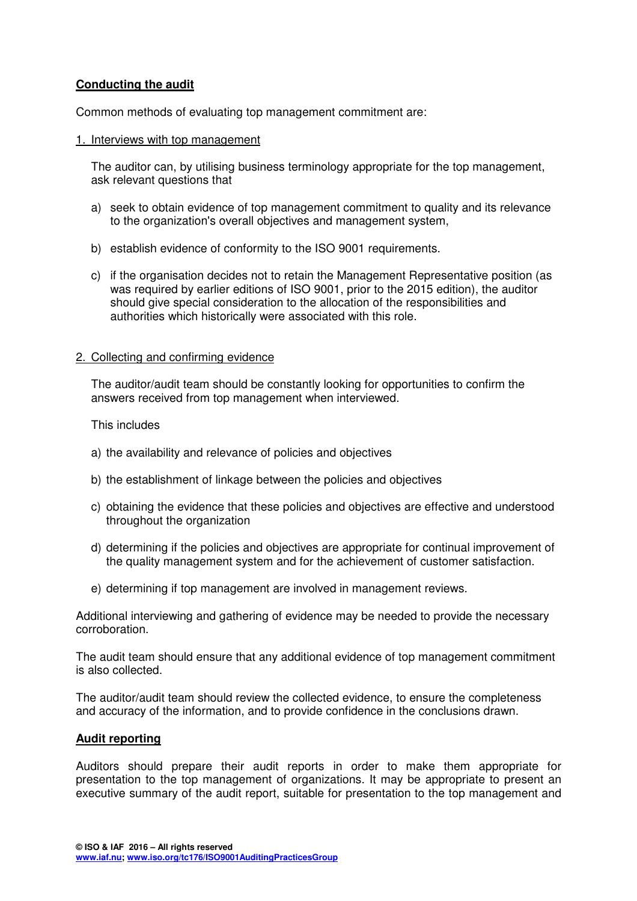## **Conducting the audit**

Common methods of evaluating top management commitment are:

#### 1. Interviews with top management

The auditor can, by utilising business terminology appropriate for the top management, ask relevant questions that

- a) seek to obtain evidence of top management commitment to quality and its relevance to the organization's overall objectives and management system,
- b) establish evidence of conformity to the ISO 9001 requirements.
- c) if the organisation decides not to retain the Management Representative position (as was required by earlier editions of ISO 9001, prior to the 2015 edition), the auditor should give special consideration to the allocation of the responsibilities and authorities which historically were associated with this role.

#### 2. Collecting and confirming evidence

The auditor/audit team should be constantly looking for opportunities to confirm the answers received from top management when interviewed.

#### This includes

- a) the availability and relevance of policies and objectives
- b) the establishment of linkage between the policies and objectives
- c) obtaining the evidence that these policies and objectives are effective and understood throughout the organization
- d) determining if the policies and objectives are appropriate for continual improvement of the quality management system and for the achievement of customer satisfaction.
- e) determining if top management are involved in management reviews.

Additional interviewing and gathering of evidence may be needed to provide the necessary corroboration.

The audit team should ensure that any additional evidence of top management commitment is also collected.

The auditor/audit team should review the collected evidence, to ensure the completeness and accuracy of the information, and to provide confidence in the conclusions drawn.

## **Audit reporting**

Auditors should prepare their audit reports in order to make them appropriate for presentation to the top management of organizations. It may be appropriate to present an executive summary of the audit report, suitable for presentation to the top management and